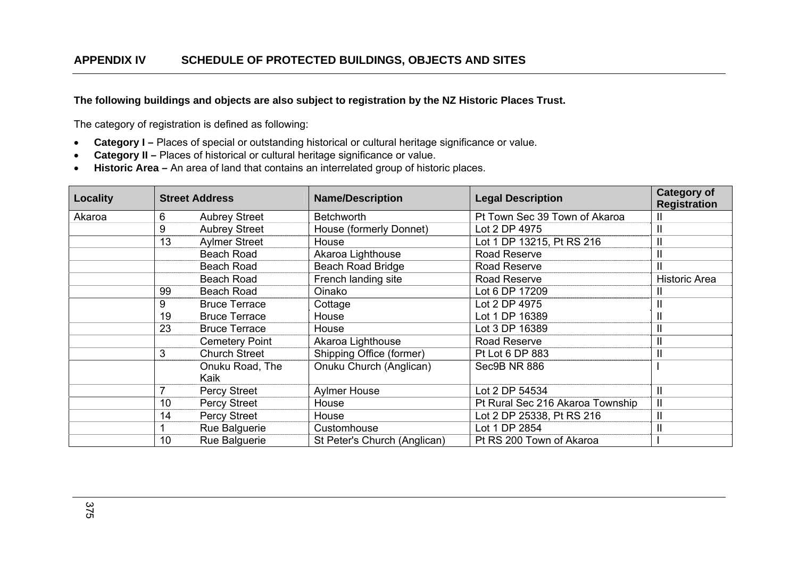**The following buildings and objects are also subject to registration by the NZ Historic Places Trust.** 

The category of registration is defined as following:

- $\bullet$ **Category I –** Places of special or outstanding historical or cultural heritage significance or value.
- **Category II –** Places of historical or cultural heritage significance or value.
- **Historic Area –** An area of land that contains an interrelated group of historic places.

| Locality |    | <b>Street Address</b>   | <b>Name/Description</b>      | <b>Legal Description</b>         | <b>Category of</b><br><b>Registration</b> |
|----------|----|-------------------------|------------------------------|----------------------------------|-------------------------------------------|
| Akaroa   | 6  | <b>Aubrey Street</b>    | <b>Betchworth</b>            | Pt Town Sec 39 Town of Akaroa    | Ш                                         |
|          | 9  | <b>Aubrey Street</b>    | House (formerly Donnet)      | Lot 2 DP 4975                    | $\mathbf{I}$                              |
|          | 13 | <b>Aylmer Street</b>    | House                        | Lot 1 DP 13215, Pt RS 216        | $\mathbf{I}$                              |
|          |    | <b>Beach Road</b>       | Akaroa Lighthouse            | Road Reserve                     | $\mathbf{I}$                              |
|          |    | <b>Beach Road</b>       | <b>Beach Road Bridge</b>     | Road Reserve                     | $\mathsf{II}$                             |
|          |    | <b>Beach Road</b>       | French landing site          | Road Reserve                     | <b>Historic Area</b>                      |
|          | 99 | Beach Road              | Oinako                       | Lot 6 DP 17209                   | Ш                                         |
|          | 9  | <b>Bruce Terrace</b>    | Cottage                      | Lot 2 DP 4975                    | $\mathbf{I}$                              |
|          | 19 | <b>Bruce Terrace</b>    | House                        | Lot 1 DP 16389                   | $\mathbf{I}$                              |
|          | 23 | <b>Bruce Terrace</b>    | House                        | Lot 3 DP 16389                   | $\mathbf{I}$                              |
|          |    | <b>Cemetery Point</b>   | Akaroa Lighthouse            | Road Reserve                     | $\mathbf{I}$                              |
|          | 3  | <b>Church Street</b>    | Shipping Office (former)     | Pt Lot 6 DP 883                  | $\mathbf{I}$                              |
|          |    | Onuku Road, The<br>Kaik | Onuku Church (Anglican)      | Sec9B NR 886                     |                                           |
|          |    | <b>Percy Street</b>     | <b>Aylmer House</b>          | Lot 2 DP 54534                   | $\mathbf{I}$                              |
|          | 10 | <b>Percy Street</b>     | House                        | Pt Rural Sec 216 Akaroa Township | $\mathbf{I}$                              |
|          | 14 | <b>Percy Street</b>     | House                        | Lot 2 DP 25338, Pt RS 216        | $\mathbf{I}$                              |
|          |    | Rue Balguerie           | Customhouse                  | Lot 1 DP 2854                    | $\mathbf{I}$                              |
|          | 10 | Rue Balguerie           | St Peter's Church (Anglican) | Pt RS 200 Town of Akaroa         |                                           |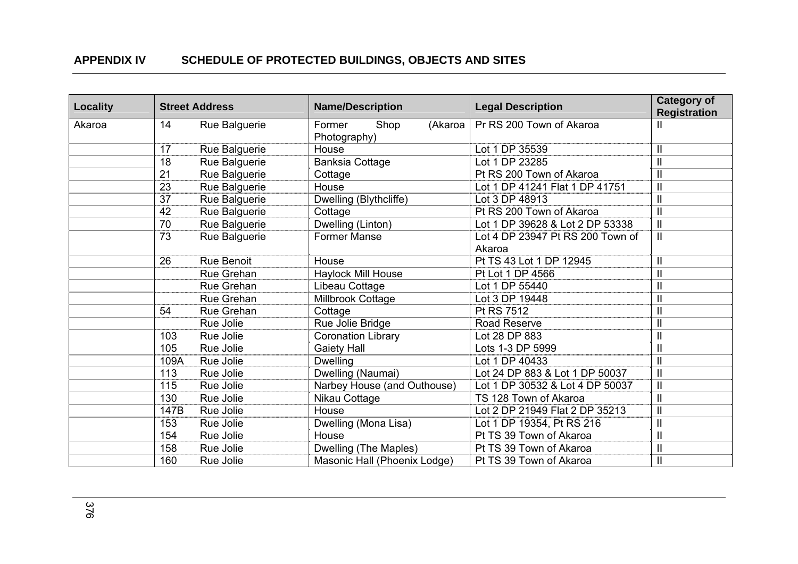| <b>Locality</b> |      | <b>Street Address</b> | <b>Name/Description</b>                   | <b>Legal Description</b>         | <b>Category of</b><br><b>Registration</b> |
|-----------------|------|-----------------------|-------------------------------------------|----------------------------------|-------------------------------------------|
| Akaroa          | 14   | Rue Balguerie         | Shop<br>(Akaroa<br>Former<br>Photography) | Pr RS 200 Town of Akaroa         |                                           |
|                 | 17   | Rue Balguerie         | House                                     | Lot 1 DP 35539                   | $\mathbf{H}$                              |
|                 | 18   | Rue Balguerie         | <b>Banksia Cottage</b>                    | Lot 1 DP 23285                   | $\mathbf{I}$                              |
|                 | 21   | Rue Balguerie         | Cottage                                   | Pt RS 200 Town of Akaroa         | $\overline{\mathbf{u}}$                   |
|                 | 23   | Rue Balguerie         | House                                     | Lot 1 DP 41241 Flat 1 DP 41751   | $\mathbf{I}$                              |
|                 | 37   | Rue Balguerie         | Dwelling (Blythcliffe)                    | Lot 3 DP 48913                   | $\mathbf{I}$                              |
|                 | 42   | Rue Balguerie         | Cottage                                   | Pt RS 200 Town of Akaroa         | $\mathbf{I}$                              |
|                 | 70   | Rue Balguerie         | Dwelling (Linton)                         | Lot 1 DP 39628 & Lot 2 DP 53338  | $\mathbf{I}$                              |
|                 | 73   | Rue Balguerie         | <b>Former Manse</b>                       | Lot 4 DP 23947 Pt RS 200 Town of | $\mathbf{I}$                              |
|                 |      |                       |                                           | Akaroa                           |                                           |
|                 | 26   | Rue Benoit            | House                                     | Pt TS 43 Lot 1 DP 12945          | $\mathbf{I}$                              |
|                 |      | Rue Grehan            | <b>Haylock Mill House</b>                 | Pt Lot 1 DP 4566                 | $\overline{\mathbf{I}}$                   |
|                 |      | Rue Grehan            | Libeau Cottage                            | Lot 1 DP 55440                   | $\mathbf{I}$                              |
|                 |      | Rue Grehan            | Millbrook Cottage                         | Lot 3 DP 19448                   | $\overline{\mathbf{u}}$                   |
|                 | 54   | Rue Grehan            | Cottage                                   | Pt RS 7512                       | $\mathbf{I}$                              |
|                 |      | Rue Jolie             | Rue Jolie Bridge                          | <b>Road Reserve</b>              | $\mathbf{I}$                              |
|                 | 103  | Rue Jolie             | <b>Coronation Library</b>                 | Lot 28 DP 883                    | $\mathbf{I}$                              |
|                 | 105  | Rue Jolie             | <b>Gaiety Hall</b>                        | Lots 1-3 DP 5999                 | $\mathbf{I}$                              |
|                 | 109A | Rue Jolie             | <b>Dwelling</b>                           | Lot 1 DP 40433                   | $\mathbf{I}$                              |
|                 | 113  | Rue Jolie             | Dwelling (Naumai)                         | Lot 24 DP 883 & Lot 1 DP 50037   | $\mathbf{I}$                              |
|                 | 115  | Rue Jolie             | Narbey House (and Outhouse)               | Lot 1 DP 30532 & Lot 4 DP 50037  | $\mathbf{I}$                              |
|                 | 130  | Rue Jolie             | Nikau Cottage                             | TS 128 Town of Akaroa            | $\mathbf{I}$                              |
|                 | 147B | Rue Jolie             | House                                     | Lot 2 DP 21949 Flat 2 DP 35213   | $\mathbf{I}$                              |
|                 | 153  | Rue Jolie             | Dwelling (Mona Lisa)                      | Lot 1 DP 19354, Pt RS 216        | $\mathbf{I}$                              |
|                 | 154  | Rue Jolie             | House                                     | Pt TS 39 Town of Akaroa          | $\mathbf{I}$                              |
|                 | 158  | Rue Jolie             | Dwelling (The Maples)                     | Pt TS 39 Town of Akaroa          | $\mathbf{I}$                              |
|                 | 160  | Rue Jolie             | Masonic Hall (Phoenix Lodge)              | Pt TS 39 Town of Akaroa          | $\mathbf{I}$                              |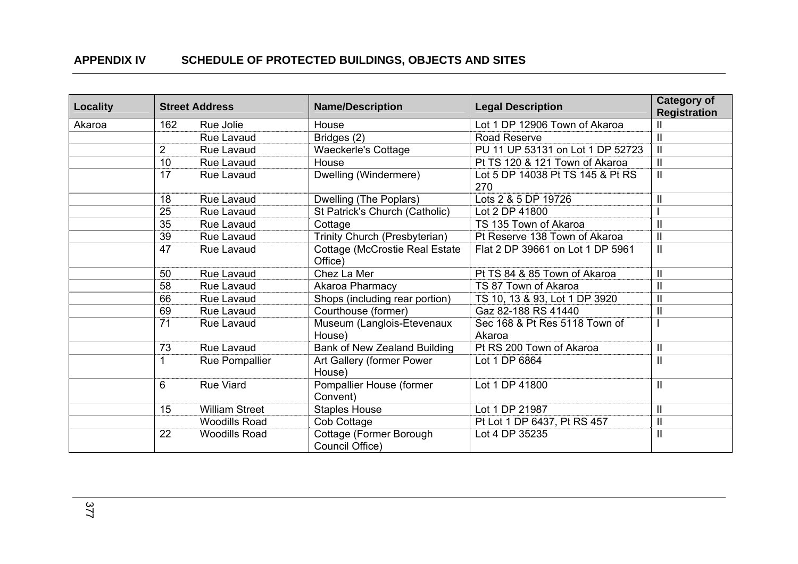| Locality |                | <b>Street Address</b> | <b>Name/Description</b>                           | <b>Legal Description</b>                | <b>Category of</b><br><b>Registration</b> |
|----------|----------------|-----------------------|---------------------------------------------------|-----------------------------------------|-------------------------------------------|
| Akaroa   | 162            | Rue Jolie             | House                                             | Lot 1 DP 12906 Town of Akaroa           | Ш                                         |
|          |                | Rue Lavaud            | Bridges (2)                                       | Road Reserve                            | $\mathbf{I}$                              |
|          | $\overline{2}$ | Rue Lavaud            | <b>Waeckerle's Cottage</b>                        | PU 11 UP 53131 on Lot 1 DP 52723        | $\mathbf{I}$                              |
|          | 10             | Rue Lavaud            | House                                             | Pt TS 120 & 121 Town of Akaroa          | $\mathbf{I}$                              |
|          | 17             | Rue Lavaud            | Dwelling (Windermere)                             | Lot 5 DP 14038 Pt TS 145 & Pt RS<br>270 | $\mathbf{I}$                              |
|          | 18             | <b>Rue Lavaud</b>     | Dwelling (The Poplars)                            | Lots 2 & 5 DP 19726                     | $\mathbf{I}$                              |
|          | 25             | <b>Rue Lavaud</b>     | St Patrick's Church (Catholic)                    | Lot 2 DP 41800                          |                                           |
|          | 35             | Rue Lavaud            | Cottage                                           | TS 135 Town of Akaroa                   | $\mathbf{I}$                              |
|          | 39             | Rue Lavaud            | Trinity Church (Presbyterian)                     | Pt Reserve 138 Town of Akaroa           | $\mathbf{I}$                              |
|          | 47             | <b>Rue Lavaud</b>     | <b>Cottage (McCrostie Real Estate)</b><br>Office) | Flat 2 DP 39661 on Lot 1 DP 5961        | $\mathbf{I}$                              |
|          | 50             | <b>Rue Lavaud</b>     | Chez La Mer                                       | Pt TS 84 & 85 Town of Akaroa            | $\mathbf{I}$                              |
|          | 58             | Rue Lavaud            | Akaroa Pharmacy                                   | TS 87 Town of Akaroa                    | $\mathbf{I}$                              |
|          | 66             | Rue Lavaud            | Shops (including rear portion)                    | TS 10, 13 & 93, Lot 1 DP 3920           | $\mathbf{I}$                              |
|          | 69             | Rue Lavaud            | Courthouse (former)                               | Gaz 82-188 RS 41440                     | $\mathbf{I}$                              |
|          | 71             | <b>Rue Lavaud</b>     | Museum (Langlois-Etevenaux<br>House)              | Sec 168 & Pt Res 5118 Town of<br>Akaroa |                                           |
|          | 73             | <b>Rue Lavaud</b>     | Bank of New Zealand Building                      | Pt RS 200 Town of Akaroa                | $\mathbf{I}$                              |
|          |                | Rue Pompallier        | Art Gallery (former Power<br>House)               | Lot 1 DP 6864                           | $\mathbf{I}$                              |
|          | 6              | <b>Rue Viard</b>      | Pompallier House (former<br>Convent)              | Lot 1 DP 41800                          | $\mathbf{I}$                              |
|          | 15             | <b>William Street</b> | <b>Staples House</b>                              | Lot 1 DP 21987                          | $\mathbf{I}$                              |
|          |                | <b>Woodills Road</b>  | Cob Cottage                                       | Pt Lot 1 DP 6437, Pt RS 457             | $\mathbf{I}$                              |
|          | 22             | <b>Woodills Road</b>  | Cottage (Former Borough<br>Council Office)        | Lot 4 DP 35235                          | $\mathbf{I}$                              |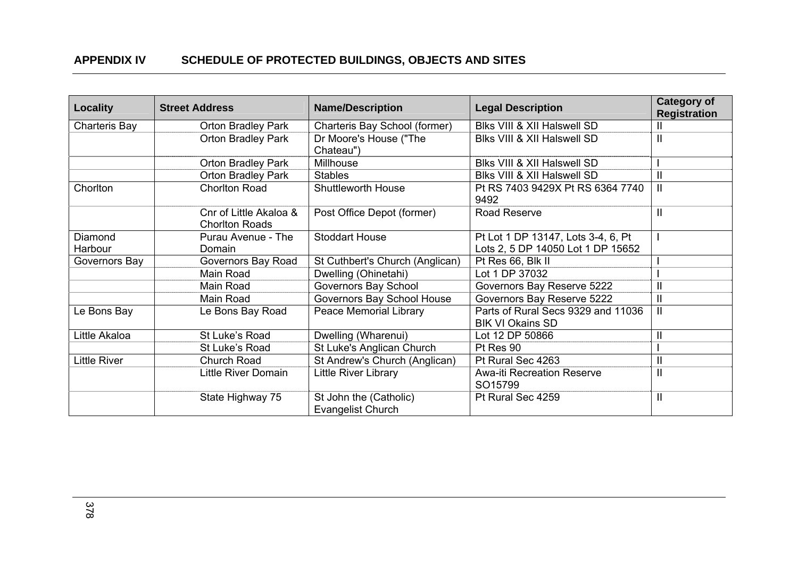| <b>Locality</b>      | <b>Street Address</b>                           | <b>Name/Description</b>                            | <b>Legal Description</b>                                      | <b>Category of</b><br><b>Registration</b> |
|----------------------|-------------------------------------------------|----------------------------------------------------|---------------------------------------------------------------|-------------------------------------------|
| <b>Charteris Bay</b> | <b>Orton Bradley Park</b>                       | Charteris Bay School (former)                      | Blks VIII & XII Halswell SD                                   | Ш                                         |
|                      | <b>Orton Bradley Park</b>                       | Dr Moore's House ("The<br>Chateau")                | Blks VIII & XII Halswell SD                                   | $\mathbf{I}$                              |
|                      | <b>Orton Bradley Park</b>                       | Millhouse                                          | Blks VIII & XII Halswell SD                                   |                                           |
|                      | <b>Orton Bradley Park</b>                       | <b>Stables</b>                                     | Blks VIII & XII Halswell SD                                   | $\mathbf{I}$                              |
| Chorlton             | <b>Chorlton Road</b>                            | <b>Shuttleworth House</b>                          | Pt RS 7403 9429X Pt RS 6364 7740<br>9492                      | $\mathbf{I}$                              |
|                      | Cnr of Little Akaloa &<br><b>Chorlton Roads</b> | Post Office Depot (former)                         | Road Reserve                                                  | $\mathbf{I}$                              |
| Diamond              | Purau Avenue - The                              | <b>Stoddart House</b>                              | Pt Lot 1 DP 13147, Lots 3-4, 6, Pt                            |                                           |
| Harbour              | Domain                                          |                                                    | Lots 2, 5 DP 14050 Lot 1 DP 15652                             |                                           |
| Governors Bay        | Governors Bay Road                              | St Cuthbert's Church (Anglican)                    | Pt Res 66, Blk II                                             |                                           |
|                      | Main Road                                       | Dwelling (Ohinetahi)                               | Lot 1 DP 37032                                                |                                           |
|                      | Main Road                                       | Governors Bay School                               | Governors Bay Reserve 5222                                    | $\mathbf{I}$                              |
|                      | Main Road                                       | Governors Bay School House                         | Governors Bay Reserve 5222                                    | $\mathbf{I}$                              |
| Le Bons Bay          | Le Bons Bay Road                                | Peace Memorial Library                             | Parts of Rural Secs 9329 and 11036<br><b>BIK VI Okains SD</b> | $\mathbf{I}$                              |
| Little Akaloa        | St Luke's Road                                  | Dwelling (Wharenui)                                | Lot 12 DP 50866                                               | $\mathbf{I}$                              |
|                      | St Luke's Road                                  | St Luke's Anglican Church                          | Pt Res 90                                                     |                                           |
| <b>Little River</b>  | Church Road                                     | St Andrew's Church (Anglican)                      | Pt Rural Sec 4263                                             | $\mathbf{I}$                              |
|                      | <b>Little River Domain</b>                      | Little River Library                               | <b>Awa-iti Recreation Reserve</b><br>SO15799                  | $\mathbf{I}$                              |
|                      | State Highway 75                                | St John the (Catholic)<br><b>Evangelist Church</b> | Pt Rural Sec 4259                                             | $\mathbf{I}$                              |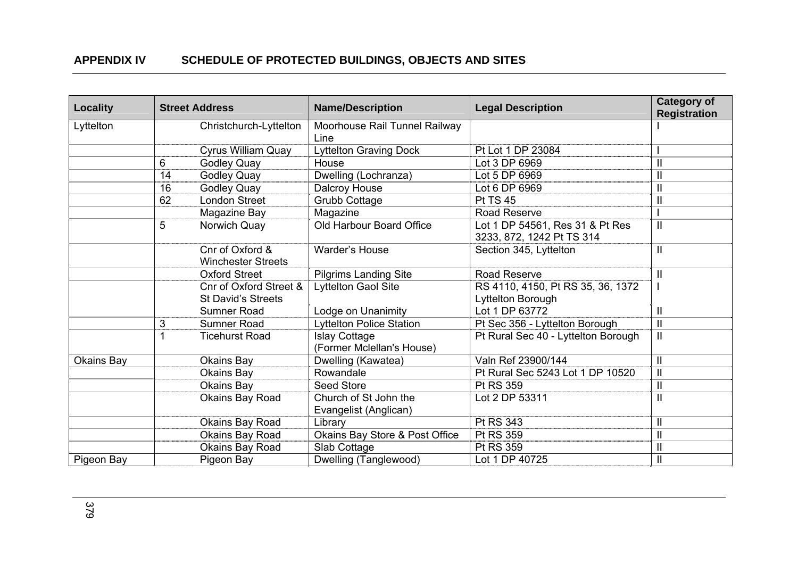| <b>Locality</b> |    | <b>Street Address</b>                        | <b>Name/Description</b>                           | <b>Legal Description</b>                                     | <b>Category of</b><br><b>Registration</b> |
|-----------------|----|----------------------------------------------|---------------------------------------------------|--------------------------------------------------------------|-------------------------------------------|
| Lyttelton       |    | Christchurch-Lyttelton                       | Moorhouse Rail Tunnel Railway<br>Line             |                                                              |                                           |
|                 |    | <b>Cyrus William Quay</b>                    | <b>Lyttelton Graving Dock</b>                     | Pt Lot 1 DP 23084                                            |                                           |
|                 | 6  | <b>Godley Quay</b>                           | House                                             | Lot 3 DP 6969                                                | $\mathbf{I}$                              |
|                 | 14 | <b>Godley Quay</b>                           | Dwelling (Lochranza)                              | Lot 5 DP 6969                                                | $\mathbf{I}$                              |
|                 | 16 | <b>Godley Quay</b>                           | Dalcroy House                                     | Lot 6 DP 6969                                                | $\mathbf{I}$                              |
|                 | 62 | <b>London Street</b>                         | <b>Grubb Cottage</b>                              | <b>Pt TS 45</b>                                              | $\mathbf{I}$                              |
|                 |    | Magazine Bay                                 | Magazine                                          | Road Reserve                                                 |                                           |
|                 | 5  | Norwich Quay                                 | Old Harbour Board Office                          | Lot 1 DP 54561, Res 31 & Pt Res<br>3233, 872, 1242 Pt TS 314 | $\mathbf{I}$                              |
|                 |    | Cnr of Oxford &<br><b>Winchester Streets</b> | Warder's House                                    | Section 345, Lyttelton                                       | $\mathbf{H}$                              |
|                 |    | <b>Oxford Street</b>                         | <b>Pilgrims Landing Site</b>                      | <b>Road Reserve</b>                                          | $\mathbf{I}$                              |
|                 |    | Cnr of Oxford Street &                       | Lyttelton Gaol Site                               | RS 4110, 4150, Pt RS 35, 36, 1372                            |                                           |
|                 |    | <b>St David's Streets</b>                    |                                                   | Lyttelton Borough                                            |                                           |
|                 |    | Sumner Road                                  | Lodge on Unanimity                                | Lot 1 DP 63772                                               | $\mathbf{I}$                              |
|                 | 3  | Sumner Road                                  | <b>Lyttelton Police Station</b>                   | Pt Sec 356 - Lyttelton Borough                               | $\mathbf{I}$                              |
|                 |    | <b>Ticehurst Road</b>                        | <b>Islay Cottage</b><br>(Former Mclellan's House) | Pt Rural Sec 40 - Lyttelton Borough                          | $\mathbf{I}$                              |
| Okains Bay      |    | Okains Bay                                   | Dwelling (Kawatea)                                | Valn Ref 23900/144                                           | $\mathbf{I}$                              |
|                 |    | Okains Bay                                   | Rowandale                                         | Pt Rural Sec 5243 Lot 1 DP 10520                             | $\mathbf{I}$                              |
|                 |    | Okains Bay                                   | Seed Store                                        | Pt RS 359                                                    | $\mathbf{I}$                              |
|                 |    | Okains Bay Road                              | Church of St John the<br>Evangelist (Anglican)    | Lot 2 DP 53311                                               | $\mathbf{I}$                              |
|                 |    | Okains Bay Road                              | Library                                           | Pt RS 343                                                    | $\mathbf{I}$                              |
|                 |    | Okains Bay Road                              | Okains Bay Store & Post Office                    | Pt RS 359                                                    | $\mathbf{I}$                              |
|                 |    | Okains Bay Road                              | Slab Cottage                                      | Pt RS 359                                                    | $\mathbf{I}$                              |
| Pigeon Bay      |    | Pigeon Bay                                   | Dwelling (Tanglewood)                             | Lot 1 DP 40725                                               | $\mathbf{I}$                              |